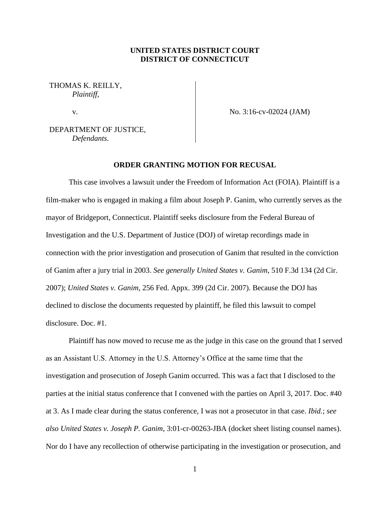## **UNITED STATES DISTRICT COURT DISTRICT OF CONNECTICUT**

THOMAS K. REILLY, *Plaintiff*,

v.

No. 3:16-cv-02024 (JAM)

DEPARTMENT OF JUSTICE, *Defendants*.

## **ORDER GRANTING MOTION FOR RECUSAL**

This case involves a lawsuit under the Freedom of Information Act (FOIA). Plaintiff is a film-maker who is engaged in making a film about Joseph P. Ganim, who currently serves as the mayor of Bridgeport, Connecticut. Plaintiff seeks disclosure from the Federal Bureau of Investigation and the U.S. Department of Justice (DOJ) of wiretap recordings made in connection with the prior investigation and prosecution of Ganim that resulted in the conviction of Ganim after a jury trial in 2003. *See generally United States v. Ganim*, 510 F.3d 134 (2d Cir. 2007); *United States v. Ganim*, 256 Fed. Appx. 399 (2d Cir. 2007). Because the DOJ has declined to disclose the documents requested by plaintiff, he filed this lawsuit to compel disclosure. Doc. #1.

Plaintiff has now moved to recuse me as the judge in this case on the ground that I served as an Assistant U.S. Attorney in the U.S. Attorney's Office at the same time that the investigation and prosecution of Joseph Ganim occurred. This was a fact that I disclosed to the parties at the initial status conference that I convened with the parties on April 3, 2017. Doc. #40 at 3. As I made clear during the status conference, I was not a prosecutor in that case. *Ibid.*; *see also United States v. Joseph P. Ganim*, 3:01-cr-00263-JBA (docket sheet listing counsel names). Nor do I have any recollection of otherwise participating in the investigation or prosecution, and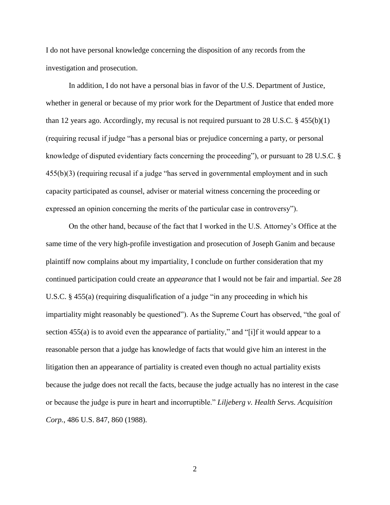I do not have personal knowledge concerning the disposition of any records from the investigation and prosecution.

In addition, I do not have a personal bias in favor of the U.S. Department of Justice, whether in general or because of my prior work for the Department of Justice that ended more than 12 years ago. Accordingly, my recusal is not required pursuant to 28 U.S.C.  $\S$  455(b)(1) (requiring recusal if judge "has a personal bias or prejudice concerning a party, or personal knowledge of disputed evidentiary facts concerning the proceeding"), or pursuant to 28 U.S.C. § 455(b)(3) (requiring recusal if a judge "has served in governmental employment and in such capacity participated as counsel, adviser or material witness concerning the proceeding or expressed an opinion concerning the merits of the particular case in controversy").

On the other hand, because of the fact that I worked in the U.S. Attorney's Office at the same time of the very high-profile investigation and prosecution of Joseph Ganim and because plaintiff now complains about my impartiality, I conclude on further consideration that my continued participation could create an *appearance* that I would not be fair and impartial. *See* 28 U.S.C. § 455(a) (requiring disqualification of a judge "in any proceeding in which his impartiality might reasonably be questioned"). As the Supreme Court has observed, "the goal of section 455(a) is to avoid even the appearance of partiality," and "[i]f it would appear to a reasonable person that a judge has knowledge of facts that would give him an interest in the litigation then an appearance of partiality is created even though no actual partiality exists because the judge does not recall the facts, because the judge actually has no interest in the case or because the judge is pure in heart and incorruptible." *Liljeberg v. Health Servs. Acquisition Corp.*, 486 U.S. 847, 860 (1988).

2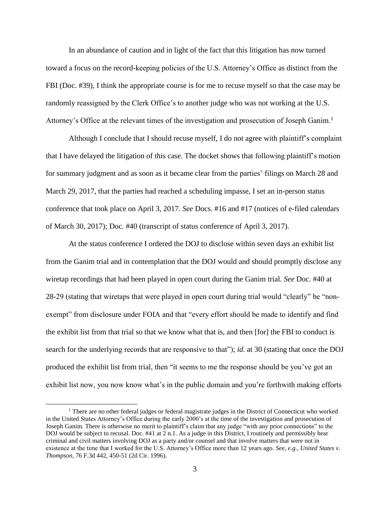In an abundance of caution and in light of the fact that this litigation has now turned toward a focus on the record-keeping policies of the U.S. Attorney's Office as distinct from the FBI (Doc. #39), I think the appropriate course is for me to recuse myself so that the case may be randomly reassigned by the Clerk Office's to another judge who was not working at the U.S. Attorney's Office at the relevant times of the investigation and prosecution of Joseph Ganim.<sup>1</sup>

Although I conclude that I should recuse myself, I do not agree with plaintiff's complaint that I have delayed the litigation of this case. The docket shows that following plaintiff's motion for summary judgment and as soon as it became clear from the parties' filings on March 28 and March 29, 2017, that the parties had reached a scheduling impasse, I set an in-person status conference that took place on April 3, 2017. *See* Docs. #16 and #17 (notices of e-filed calendars of March 30, 2017); Doc. #40 (transcript of status conference of April 3, 2017).

At the status conference I ordered the DOJ to disclose within seven days an exhibit list from the Ganim trial and in contemplation that the DOJ would and should promptly disclose any wiretap recordings that had been played in open court during the Ganim trial. *See* Doc. #40 at 28-29 (stating that wiretaps that were played in open court during trial would "clearly" be "nonexempt" from disclosure under FOIA and that "every effort should be made to identify and find the exhibit list from that trial so that we know what that is, and then [for] the FBI to conduct is search for the underlying records that are responsive to that"); *id.* at 30 (stating that once the DOJ produced the exhibit list from trial, then "it seems to me the response should be you've got an exhibit list now, you now know what's in the public domain and you're forthwith making efforts

 $\overline{a}$ 

 $<sup>1</sup>$  There are no other federal judges or federal magistrate judges in the District of Connecticut who worked</sup> in the United States Attorney's Office during the early 2000's at the time of the investigation and prosecution of Joseph Ganim. There is otherwise no merit to plaintiff's claim that any judge "with any prior connections" to the DOJ would be subject to recusal. Doc.  $#41$  at  $\overline{2}$  n.1. As a judge in this District, I routinely and permissibly hear criminal and civil matters involving DOJ as a party and/or counsel and that involve matters that were not in existence at the time that I worked for the U.S. Attorney's Office more than 12 years ago. *See, e.g., United States v. Thompson*, 76 F.3d 442, 450-51 (2d Cir. 1996).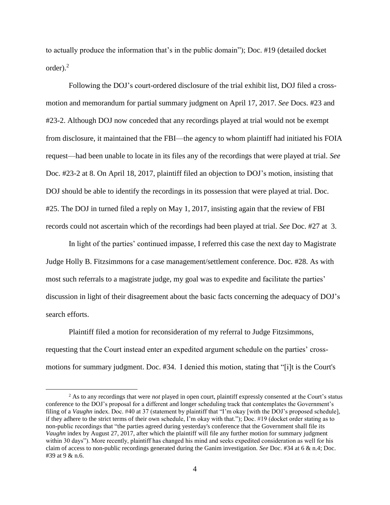to actually produce the information that's in the public domain"); Doc. #19 (detailed docket  $order)<sup>2</sup>$ 

Following the DOJ's court-ordered disclosure of the trial exhibit list, DOJ filed a crossmotion and memorandum for partial summary judgment on April 17, 2017. *See* Docs. #23 and #23-2. Although DOJ now conceded that any recordings played at trial would not be exempt from disclosure, it maintained that the FBI—the agency to whom plaintiff had initiated his FOIA request—had been unable to locate in its files any of the recordings that were played at trial. *See*  Doc. #23-2 at 8. On April 18, 2017, plaintiff filed an objection to DOJ's motion, insisting that DOJ should be able to identify the recordings in its possession that were played at trial. Doc. #25. The DOJ in turned filed a reply on May 1, 2017, insisting again that the review of FBI records could not ascertain which of the recordings had been played at trial. *See* Doc. #27 at 3.

In light of the parties' continued impasse, I referred this case the next day to Magistrate Judge Holly B. Fitzsimmons for a case management/settlement conference. Doc. #28. As with most such referrals to a magistrate judge, my goal was to expedite and facilitate the parties' discussion in light of their disagreement about the basic facts concerning the adequacy of DOJ's search efforts.

Plaintiff filed a motion for reconsideration of my referral to Judge Fitzsimmons, requesting that the Court instead enter an expedited argument schedule on the parties' crossmotions for summary judgment. Doc. #34. I denied this motion, stating that "[i]t is the Court's

 $\overline{a}$ 

<sup>2</sup> As to any recordings that were *not* played in open court, plaintiff expressly consented at the Court's status conference to the DOJ's proposal for a different and longer scheduling track that contemplates the Government's filing of a *Vaughn* index. Doc. #40 at 37 (statement by plaintiff that "I'm okay [with the DOJ's proposed schedule], if they adhere to the strict terms of their own schedule, I'm okay with that."); Doc. #19 (docket order stating as to non-public recordings that "the parties agreed during yesterday's conference that the Government shall file its *Vaughn* index by August 27, 2017, after which the plaintiff will file any further motion for summary judgment within 30 days"). More recently, plaintiff has changed his mind and seeks expedited consideration as well for his claim of access to non-public recordings generated during the Ganim investigation. *See* Doc. #34 at 6 & n.4; Doc. #39 at 9 & n.6.